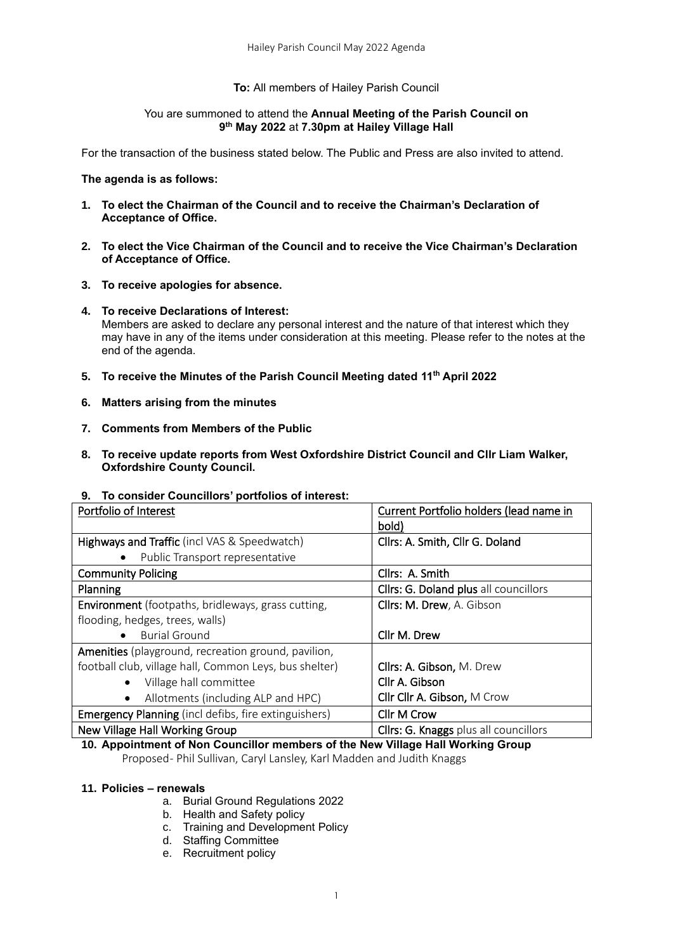#### **To:** All members of Hailey Parish Council

#### You are summoned to attend the **Annual Meeting of the Parish Council on 9 th May 2022** at **7.30pm at Hailey Village Hall**

For the transaction of the business stated below. The Public and Press are also invited to attend.

#### **The agenda is as follows:**

- **1. To elect the Chairman of the Council and to receive the Chairman's Declaration of Acceptance of Office.**
- **2. To elect the Vice Chairman of the Council and to receive the Vice Chairman's Declaration of Acceptance of Office.**
- **3. To receive apologies for absence.**
- **4. To receive Declarations of Interest:**  Members are asked to declare any personal interest and the nature of that interest which they may have in any of the items under consideration at this meeting. Please refer to the notes at the end of the agenda.
- **5. To receive the Minutes of the Parish Council Meeting dated 11 th April 2022**
- **6. Matters arising from the minutes**
- **7. Comments from Members of the Public**
- **8. To receive update reports from West Oxfordshire District Council and Cllr Liam Walker, Oxfordshire County Council.**

#### **9. To consider Councillors' portfolios of interest:**

| Portfolio of Interest                                       | Current Portfolio holders (lead name in |
|-------------------------------------------------------------|-----------------------------------------|
|                                                             | bold)                                   |
| Highways and Traffic (incl VAS & Speedwatch)                | Cllrs: A. Smith, Cllr G. Doland         |
| Public Transport representative<br>٠                        |                                         |
| <b>Community Policing</b>                                   | Cllrs: A. Smith                         |
| Planning                                                    | Cllrs: G. Doland plus all councillors   |
| <b>Environment</b> (footpaths, bridleways, grass cutting,   | Cllrs: M. Drew, A. Gibson               |
| flooding, hedges, trees, walls)                             |                                         |
| <b>Burial Ground</b>                                        | Cllr M. Drew                            |
| Amenities (playground, recreation ground, pavilion,         |                                         |
| football club, village hall, Common Leys, bus shelter)      | Cllrs: A. Gibson, M. Drew               |
| Village hall committee<br>$\bullet$                         | Cllr A. Gibson                          |
| Allotments (including ALP and HPC)<br>$\bullet$             | Cllr Cllr A. Gibson, M Crow             |
| <b>Emergency Planning</b> (incl defibs, fire extinguishers) | Cllr M Crow                             |
| New Village Hall Working Group                              | Cllrs: G. Knaggs plus all councillors   |

# **10. Appointment of Non Councillor members of the New Village Hall Working Group**

Proposed - Phil Sullivan, Caryl Lansley, Karl Madden and Judith Knaggs

## **11. Policies – renewals**

- a. Burial Ground Regulations 2022
- b. Health and Safety policy
- c. Training and Development Policy
- d. Staffing Committee
- e. Recruitment policy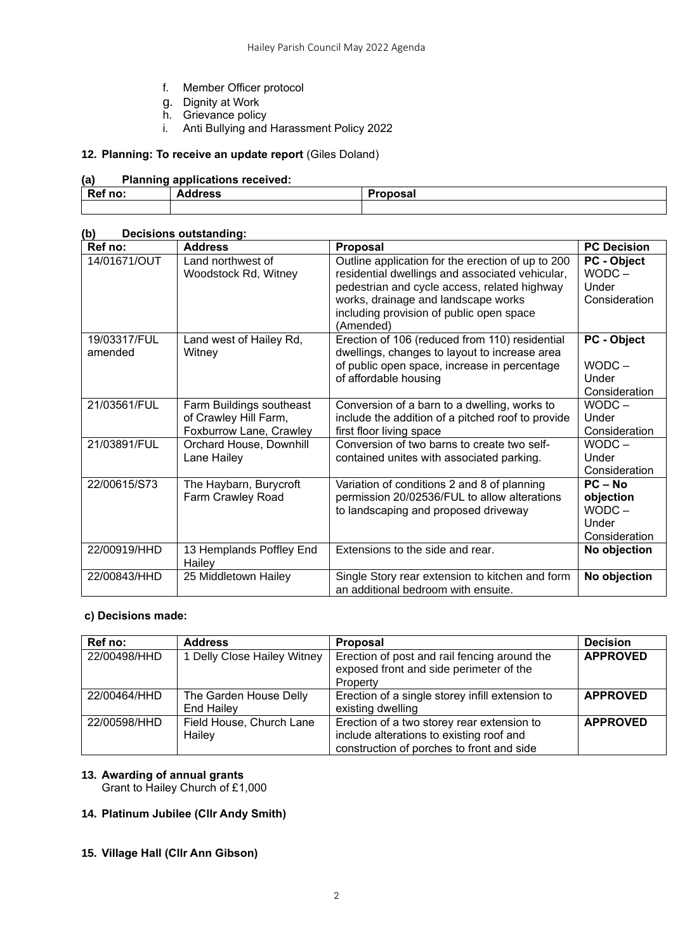- f. Member Officer protocol
- g. Dignity at Work
- h. Grievance policy
- i. Anti Bullying and Harassment Policy 2022

# **12. Planning: To receive an update report** (Giles Doland)

# **(a) Planning applications received:**

| Ref no: | <b>Address</b> | Proposal |
|---------|----------------|----------|
|         |                |          |

# **(b) Decisions outstanding:**

| Ref no:                 | <b>Address</b>                                                               | Proposal                                                                                                                                                                                                                                             | <b>PC Decision</b>                                           |
|-------------------------|------------------------------------------------------------------------------|------------------------------------------------------------------------------------------------------------------------------------------------------------------------------------------------------------------------------------------------------|--------------------------------------------------------------|
| 14/01671/OUT            | Land northwest of<br>Woodstock Rd, Witney                                    | Outline application for the erection of up to 200<br>residential dwellings and associated vehicular,<br>pedestrian and cycle access, related highway<br>works, drainage and landscape works<br>including provision of public open space<br>(Amended) | PC - Object<br>$WODC -$<br>Under<br>Consideration            |
| 19/03317/FUL<br>amended | Land west of Hailey Rd,<br>Witney                                            | Erection of 106 (reduced from 110) residential<br>dwellings, changes to layout to increase area<br>of public open space, increase in percentage<br>of affordable housing                                                                             | PC - Object<br>$WODC -$<br>Under<br>Consideration            |
| 21/03561/FUL            | Farm Buildings southeast<br>of Crawley Hill Farm,<br>Foxburrow Lane, Crawley | Conversion of a barn to a dwelling, works to<br>include the addition of a pitched roof to provide<br>first floor living space                                                                                                                        | $WODC -$<br>Under<br>Consideration                           |
| 21/03891/FUL            | Orchard House, Downhill<br>Lane Hailey                                       | Conversion of two barns to create two self-<br>contained unites with associated parking.                                                                                                                                                             | $WODC -$<br>Under<br>Consideration                           |
| 22/00615/S73            | The Haybarn, Burycroft<br>Farm Crawley Road                                  | Variation of conditions 2 and 8 of planning<br>permission 20/02536/FUL to allow alterations<br>to landscaping and proposed driveway                                                                                                                  | $PC - No$<br>objection<br>$WODC -$<br>Under<br>Consideration |
| 22/00919/HHD            | 13 Hemplands Poffley End<br>Hailey                                           | Extensions to the side and rear.                                                                                                                                                                                                                     | No objection                                                 |
| 22/00843/HHD            | 25 Middletown Hailey                                                         | Single Story rear extension to kitchen and form<br>an additional bedroom with ensuite.                                                                                                                                                               | No objection                                                 |

#### **c) Decisions made:**

| Ref no:      | <b>Address</b>                       | <b>Proposal</b>                                                                                                                     | <b>Decision</b> |
|--------------|--------------------------------------|-------------------------------------------------------------------------------------------------------------------------------------|-----------------|
| 22/00498/HHD | 1 Delly Close Hailey Witney          | Erection of post and rail fencing around the<br>exposed front and side perimeter of the<br>Property                                 | <b>APPROVED</b> |
| 22/00464/HHD | The Garden House Delly<br>End Hailev | Erection of a single storey infill extension to<br>existing dwelling                                                                | <b>APPROVED</b> |
| 22/00598/HHD | Field House, Church Lane<br>Hailey   | Erection of a two storey rear extension to<br>include alterations to existing roof and<br>construction of porches to front and side | <b>APPROVED</b> |

# **13. Awarding of annual grants** Grant to Hailey Church of £1,000

# **14. Platinum Jubilee (Cllr Andy Smith)**

**15. Village Hall (Cllr Ann Gibson)**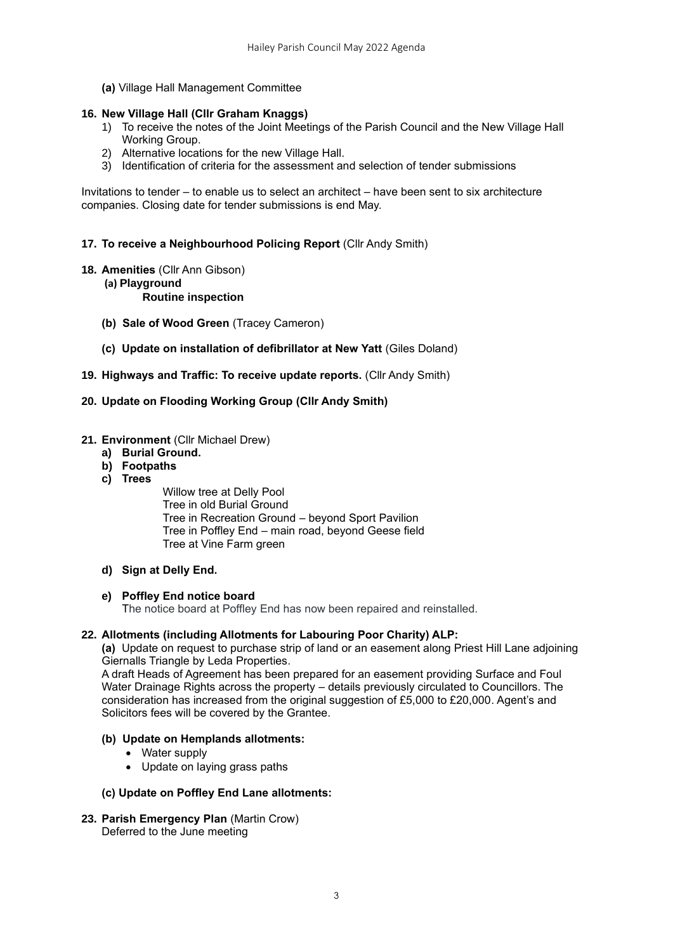**(a)** Village Hall Management Committee

## **16. New Village Hall (Cllr Graham Knaggs)**

- 1) To receive the notes of the Joint Meetings of the Parish Council and the New Village Hall Working Group.
- 2) Alternative locations for the new Village Hall.
- 3) Identification of criteria for the assessment and selection of tender submissions

Invitations to tender – to enable us to select an architect – have been sent to six architecture companies. Closing date for tender submissions is end May.

**17. To receive a Neighbourhood Policing Report** (Cllr Andy Smith)

- **18. Amenities** (Cllr Ann Gibson)
	- **(a) Playground**

#### **Routine inspection**

- **(b) Sale of Wood Green** (Tracey Cameron)
- **(c) Update on installation of defibrillator at New Yatt** (Giles Doland)
- **19. Highways and Traffic: To receive update reports.** (Cllr Andy Smith)

# **20. Update on Flooding Working Group (Cllr Andy Smith)**

#### **21. Environment** (Cllr Michael Drew)

- **a) Burial Ground.**
- **b) Footpaths**
- **c) Trees**

Willow tree at Delly Pool Tree in old Burial Ground Tree in Recreation Ground – beyond Sport Pavilion Tree in Poffley End – main road, beyond Geese field Tree at Vine Farm green

**d) Sign at Delly End.**

#### **e) Poffley End notice board**

The notice board at Poffley End has now been repaired and reinstalled.

#### **22. Allotments (including Allotments for Labouring Poor Charity) ALP:**

**(a)** Update on request to purchase strip of land or an easement along Priest Hill Lane adjoining Giernalls Triangle by Leda Properties.

A draft Heads of Agreement has been prepared for an easement providing Surface and Foul Water Drainage Rights across the property – details previously circulated to Councillors. The consideration has increased from the original suggestion of £5,000 to £20,000. Agent's and Solicitors fees will be covered by the Grantee.

#### **(b) Update on Hemplands allotments:**

- Water supply
- Update on laying grass paths

#### **(c) Update on Poffley End Lane allotments:**

**23. Parish Emergency Plan** (Martin Crow) Deferred to the June meeting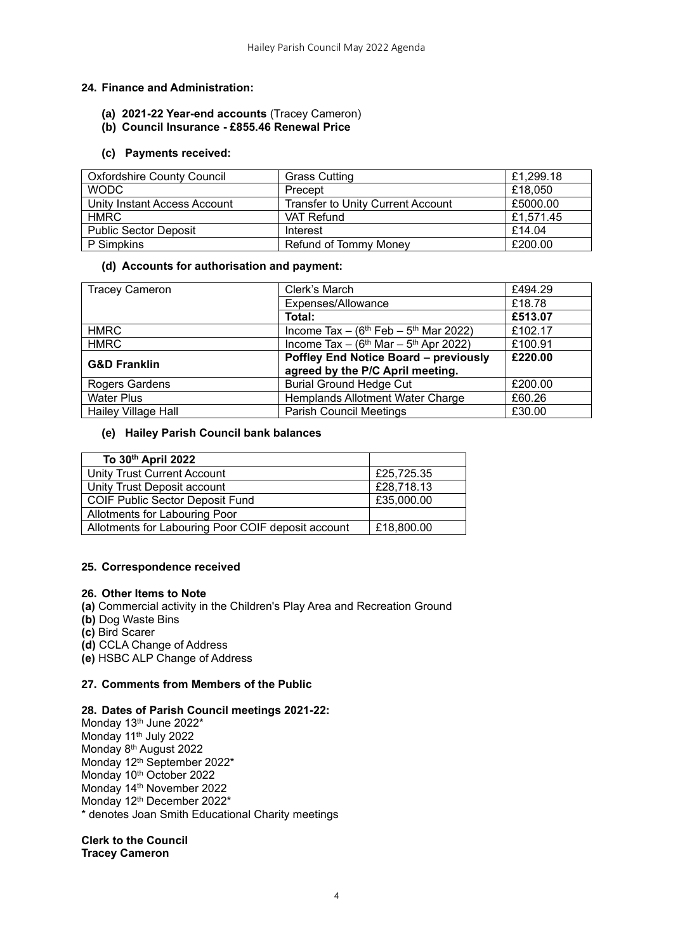# **24. Finance and Administration:**

- **(a) 2021-22 Year-end accounts** (Tracey Cameron)
- **(b) Council Insurance - £855.46 Renewal Price**

#### **(c) Payments received:**

| <b>Oxfordshire County Council</b> | <b>Grass Cutting</b>                     | £1,299.18 |
|-----------------------------------|------------------------------------------|-----------|
| <b>WODC</b>                       | Precept                                  | £18,050   |
| Unity Instant Access Account      | <b>Transfer to Unity Current Account</b> | £5000.00  |
| <b>HMRC</b>                       | VAT Refund                               | £1,571.45 |
| <b>Public Sector Deposit</b>      | Interest                                 | £14.04    |
| P Simpkins                        | Refund of Tommy Money                    | £200.00   |

## **(d) Accounts for authorisation and payment:**

| <b>Tracey Cameron</b>      | Clerk's March                                                     | £494.29 |
|----------------------------|-------------------------------------------------------------------|---------|
|                            | Expenses/Allowance                                                | £18.78  |
|                            | Total:                                                            | £513.07 |
| <b>HMRC</b>                | Income Tax $-$ (6 <sup>th</sup> Feb $-$ 5 <sup>th</sup> Mar 2022) | £102.17 |
| <b>HMRC</b>                | Income Tax $-$ (6 <sup>th</sup> Mar $-$ 5 <sup>th</sup> Apr 2022) | £100.91 |
| <b>G&amp;D Franklin</b>    | <b>Poffley End Notice Board - previously</b>                      | £220.00 |
|                            | agreed by the P/C April meeting.                                  |         |
| Rogers Gardens             | <b>Burial Ground Hedge Cut</b>                                    | £200.00 |
| <b>Water Plus</b>          | Hemplands Allotment Water Charge                                  | £60.26  |
| <b>Hailey Village Hall</b> | <b>Parish Council Meetings</b>                                    | £30.00  |

# **(e) Hailey Parish Council bank balances**

| To 30th April 2022                                 |            |
|----------------------------------------------------|------------|
| <b>Unity Trust Current Account</b>                 | £25,725.35 |
| Unity Trust Deposit account                        | £28,718.13 |
| <b>COIF Public Sector Deposit Fund</b>             | £35,000.00 |
| Allotments for Labouring Poor                      |            |
| Allotments for Labouring Poor COIF deposit account | £18,800.00 |

# **25. Correspondence received**

#### **26. Other Items to Note**

- **(a)** Commercial activity in the Children's Play Area and Recreation Ground
- **(b)** Dog Waste Bins
- **(c)** Bird Scarer
- **(d)** CCLA Change of Address

**(e)** HSBC ALP Change of Address

#### **27. Comments from Members of the Public**

#### **28. Dates of Parish Council meetings 2021-22:**

Monday 13<sup>th</sup> June 2022\* Monday 11<sup>th</sup> July 2022 Monday 8<sup>th</sup> August 2022 Monday 12<sup>th</sup> September 2022\* Monday 10<sup>th</sup> October 2022 Monday 14<sup>th</sup> November 2022 Monday 12<sup>th</sup> December 2022<sup>\*</sup> \* denotes Joan Smith Educational Charity meetings

**Clerk to the Council Tracey Cameron**